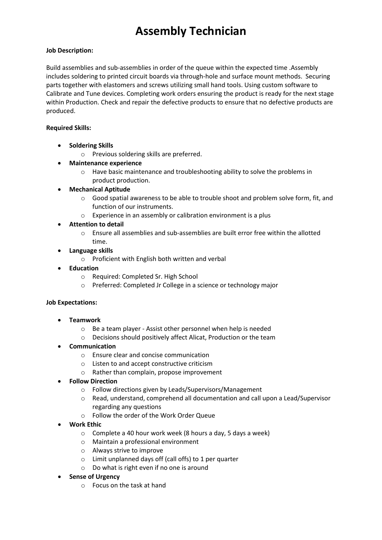## **Assembly Technician**

### **Job Description:**

Build assemblies and sub-assemblies in order of the queue within the expected time .Assembly includes soldering to printed circuit boards via through-hole and surface mount methods. Securing parts together with elastomers and screws utilizing small hand tools. Using custom software to Calibrate and Tune devices. Completing work orders ensuring the product is ready for the next stage within Production. Check and repair the defective products to ensure that no defective products are produced.

### **Required Skills:**

- **Soldering Skills**
	- o Previous soldering skills are preferred.
- **Maintenance experience** 
	- o Have basic maintenance and troubleshooting ability to solve the problems in product production.
- **Mechanical Aptitude**
	- o Good spatial awareness to be able to trouble shoot and problem solve form, fit, and function of our instruments.
	- o Experience in an assembly or calibration environment is a plus
- **Attention to detail**
	- o Ensure all assemblies and sub-assemblies are built error free within the allotted time.
- **Language skills**
	- o Proficient with English both written and verbal
- **Education** 
	- o Required: Completed Sr. High School
	- o Preferred: Completed Jr College in a science or technology major

### **Job Expectations:**

- **Teamwork**
	- o Be a team player Assist other personnel when help is needed
	- o Decisions should positively affect Alicat, Production or the team
- **Communication**
	- o Ensure clear and concise communication
	- o Listen to and accept constructive criticism
	- o Rather than complain, propose improvement
- **Follow Direction**
	- o Follow directions given by Leads/Supervisors/Management
	- o Read, understand, comprehend all documentation and call upon a Lead/Supervisor regarding any questions
	- o Follow the order of the Work Order Queue
- **Work Ethic**
	- o Complete a 40 hour work week (8 hours a day, 5 days a week)
	- o Maintain a professional environment
	- o Always strive to improve
	- o Limit unplanned days off (call offs) to 1 per quarter
	- o Do what is right even if no one is around
- **Sense of Urgency**
	- o Focus on the task at hand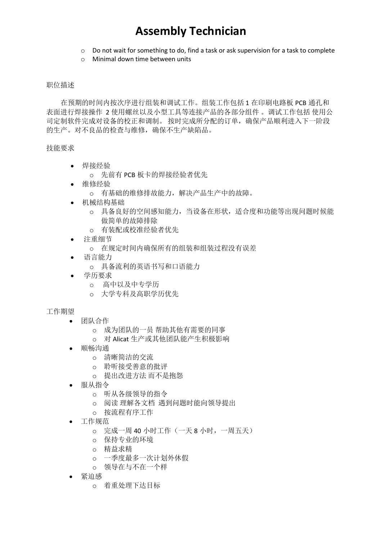### **Assembly Technician**

- o Do not wait for something to do, find a task or ask supervision for a task to complete
- o Minimal down time between units

#### 职位描述

 在预期的时间内按次序进行组装和调试工作。组装工作包括 1 在印刷电路板 PCB 通孔和 表面进行焊接操作 2 使用螺丝以及小型工具等连接产品的各部分组件 。调试工作包括 使用公 司定制软件完成对设备的校正和调制。 按时完成所分配的订单,确保产品顺利进入下一阶段 的生产。对不良品的检查与维修,确保不生产缺陷品。

### 技能要求

- 焊接经验
	- o 先前有 PCB 板卡的焊接经验者优先
- 维修经验
	- o 有基础的维修排故能力,解决产品生产中的故障。
- 机械结构基础
	- o 具备良好的空间感知能力,当设备在形状,适合度和功能等出现问题时候能 做简单的故障排除
	- o 有装配或校准经验者优先
- 注重细节
	- o 在规定时间内确保所有的组装和组装过程没有误差
- 语言能力
	- o 具备流利的英语书写和口语能力
- 学历要求
	- o 高中以及中专学历
	- o 大学专科及高职学历优先

### 工作期望

- 团队合作
	- o 成为团队的一员 帮助其他有需要的同事
	- o 对 Alicat 生产或其他团队能产生积极影响
- 顺畅沟通
	- o 清晰简洁的交流
	- o 聆听接受善意的批评
	- o 提出改进方法 而不是抱怨
- 服从指令
	- o 听从各级领导的指令
	- o 阅读 理解各文档 遇到问题时能向领导提出
	- o 按流程有序工作
- 工作规范
	- o 完成一周 40 小时工作(一天 8 小时,一周五天)
	- o 保持专业的环境
	- o 精益求精
	- o 一季度最多一次计划外休假
	- o 领导在与不在一个样
- 紧迫感
	- o 着重处理下达目标